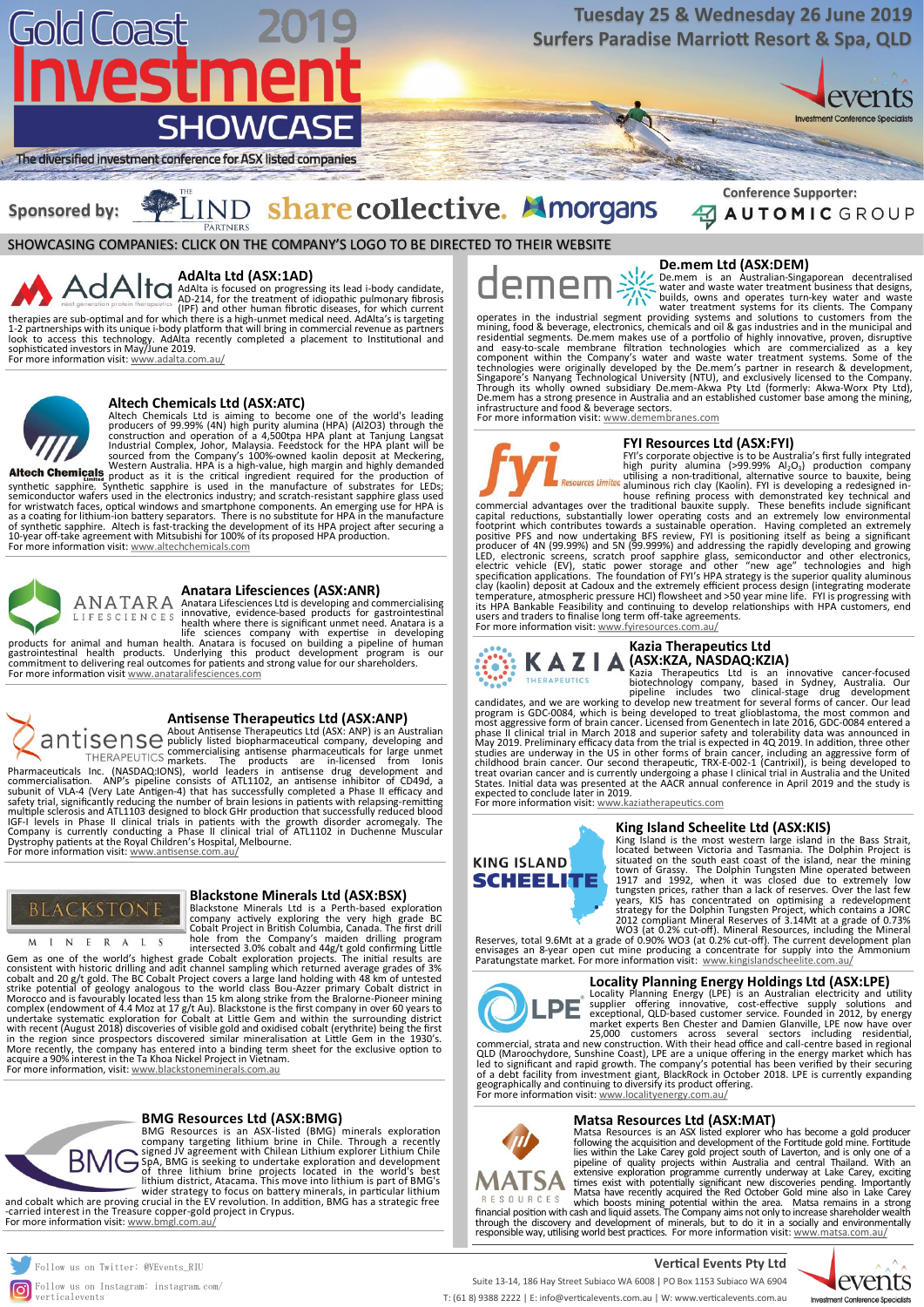#### **Blackstone Minerals Ltd (ASX:BSX)**

Blackstone Minerals Ltd is a Perth‐based exploration company actively exploring the very high grade BC Cobalt Project in British Columbia, Canada. The first drill hole from the Company's maiden drilling program intersected 3.0% cobalt and 44g/t gold confirming Little

Gem as one of the world's highest grade Cobalt exploration projects. The initial results are consistent with historic drilling and adit channel sampling which returned average grades of 3% cobalt and 20 g/t gold. The BC Cobalt Project covers a large land holding with 48 km of untested strike potential of geology analogous to the world class Bou‐Azzer primary Cobalt district in Morocco and is favourably located less than 15 km along strike from the Bralorne‐Pioneer mining complex (endowment of 4.4 Moz at 17 g/t Au). Blackstone is the first company in over 60 years to undertake systematic exploration for Cobalt at Little Gem and within the surrounding district with recent (August 2018) discoveries of visible gold and oxidised cobalt (erythrite) being the first in the region since prospectors discovered similar mineralisation at Little Gem in the 1930's. More recently, the company has entered into a binding term sheet for the exclusive option to acquire a 90% interest in the Ta Khoa Nickel Project in Vietnam. For more information, visit: [www.blackstoneminerals.com.au](http://www.blackstoneminerals.com.au)



### **Anatara Lifesciences (ASX:ANR)**

Anatara Lifesciences Ltd is developing and commercialising innovative, evidence-based products for gastrointestinal health where there is significant unmet need. Anatara is a life sciences company with expertise in developing

products for animal and human health. Anatara is focused on building a pipeline of human gastrointestinal health products. Underlying this product development program is our commitment to delivering real outcomes for patients and strong value for our shareholders. For more information visit [www.anataralifesciences.com](http://www.anataralifesciences.com)



#### **Antisense Therapeutics Ltd (ASX:ANP)**

Altech Chemicals western rustians. The critical ingredient required for the production of synthetic sapphire. Synthetic sapphire is used in the manufacture of substrates for LEDs; semiconductor wafers used in the electronics industry; and scratch-resistant sapphire glass used for wristwatch faces, optical windows and smartphone components. An emerging use for HPA is as a coating for lithium-ion battery separators. There is no substitute for HPA in the manufacture of synthetic sapphire. Altech is fast-tracking the development of its HPA project after securing a 10-year off-take agreement with Mitsubishi for 100% of its proposed HPA production. For more information visit: [www.altechchemicals.com](https://www.altechchemicals.com/)



About Antisense Therapeutics Ltd (ASX: ANP) is an Australian publicly listed biopharmaceutical company, developing and commercialising antisense pharmaceuticals for large unmet markets. The products are in-licensed from Ionis

commercial advantages over the traditional bauxite supply. These benefits include significant capital reductions, substantially lower operating costs and an extremely low environmental footprint which contributes towards a sustainable operation. Having completed an extremely positive PFS and now undertaking BFS review, FYI is positioning itself as being a significant producer of 4N (99.99%) and 5N (99.999%) and addressing the rapidly developing and growing LED, electronic screens, scratch proof sapphire glass, semiconductor and other electronics, electric vehicle (EV), static power storage and other "new age" technologies and high specification applications. The foundation of FYI's HPA strategy is the superior quality aluminous clay (kaolin) deposit at Cadoux and the extremely efficient process design (integrating moderate temperature, atmospheric pressure HCl) flowsheet and >50 year mine life. FYI is progressing with its HPA Bankable Feasibility and continuing to develop relationships with HPA customers, end users and traders to finalise long term off-take agreements. For more information visit: [www.fyiresources.com.au/](http://www.fyiresources.com.au/)



Pharmaceuticals Inc. (NASDAQ:IONS), world leaders in antisense drug development and commercialisation. ANP's pipeline consists of ATL1102, an antisense inhibitor of CD49d, a subunit of VLA-4 (Very Late Antigen-4) that has successfully completed a Phase II efficacy and safety trial, significantly reducing the number of brain lesions in patients with relapsing-remitting multiple sclerosis and ATL1103 designed to block GHr production that successfully reduced blood IGF-I levels in Phase II clinical trials in patients with the growth disorder acromegaly. The Company is currently conducting a Phase II clinical trial of ATL1102 in Duchenne Muscular Dystrophy patients at the Royal Children's Hospital, Melbourne. For more information visit: [www.antisense.com.au/](https://www.antisense.com.au/)



#### **Altech Chemicals Ltd (ASX:ATC)**

Altech Chemicals Ltd is aiming to become one of the world's leading producers of 99.99% (4N) high purity alumina (HPA) (Al2O3) through the construction and operation of a 4,500tpa HPA plant at Tanjung Langsat Industrial Complex, Johor, Malaysia. Feedstock for the HPA plant will be sourced from the Company's 100%-owned kaolin deposit at Meckering, Western Australia. HPA is a high-value, high margin and highly demanded

#### **FYI Resources Ltd (ASX:FYI)**

FYI's corporate objective is to be Australia's first fully integrated high purity alumina (>99.99%  $Al_2O_3$ ) production company utilising a non-traditional, alternative source to bauxite, being aluminous rich clay (Kaolin). FYI is developing a redesigned inhouse refining process with demonstrated key technical and

De.mem is an Australian-Singaporean decentralised water and waste water treatment business that designs, builds, owns and operates turn-key water and waste water and waste water treatment susmess that designs,<br>builds, owns and operates turn-key water and waste<br>water treatment systems for its clients. The Company



#### **AdAlta Ltd (ASX:1AD)**

AdAlta is focused on progressing its lead i-body candidate, AD-214, for the treatment of idiopathic pulmonary fibrosis (IPF) and other human fibrotic diseases, for which current therapies are sub-optimal and for which there is a high-unmet medical need. AdAlta's is targeting

> financial position with cash and liquid assets. The Company aims not only to increase shareholder wealth through the discovery and development of minerals, but to do it in a socially and environmentally responsible way, utilising world best practices. For more information visit: [www.matsa.com.au/](http://www.matsa.com.au/)

1-2 partnerships with its unique i-body platform that will bring in commercial revenue as partners look to access this technology. AdAlta recently completed a placement to Institutional and sophisticated investors in May/June 2019.





# Gold Coast 201 nvestment **SHOWCASE**

### **Tuesday 25 & Wednesday 26 June 2019 Surfers Paradise Marriott Resort & Spa, QLD**



The diversified investment conference for ASX listed companies

Suite 13-14, 186 Hay Street Subiaco WA 6008 | PO Box 1153 Subiaco WA 6904

T: (61 8) 9388 2222 | E: info@verticalevents.com.au | W: www.verticalevents.com.au

Follow us on Instagram: instagram.com/ verticalevents



#### **King Island Scheelite Ltd (ASX:KIS)**

King Island is the most western large island in the Bass Strait, located between Victoria and Tasmania. The Dolphin Project is situated on the south east coast of the island, near the mining town of Grassy. The Dolphin Tungsten Mine operated between 1917 and 1992, when it was closed due to extremely low tungsten prices, rather than a lack of reserves. Over the last few years, KIS has concentrated on optimising a redevelopment strategy for the Dolphin Tungsten Project, which contains a JORC 2012 compliant Mineral Reserves of 3.14Mt at a grade of 0.73% WO3 (at 0.2% cut-off). Mineral Resources, including the Mineral

Reserves, total 9.6Mt at a grade of 0.90% WO3 (at 0.2% cut-off). The current development plan envisages an 8-year open cut mine producing a concentrate for supply into the Ammonium Paratungstate market. For more information visit: [www.kingislandscheelite.com.au/](https://www.kingislandscheelite.com.au/)



#### **Kazia Therapeutics Ltd (ASX:KZA, NASDAQ:KZIA)**

Kazia Therapeutics Ltd is an innovative cancer-focused biotechnology company, based in Sydney, Australia. Our pipeline includes two clinical-stage drug development

candidates, and we are working to develop new treatment for several forms of cancer. Our lead program is GDC-0084, which is being developed to treat glioblastoma, the most common and most aggressive form of brain cancer. Licensed from Genentech in late 2016, GDC-0084 entered a phase II clinical trial in March 2018 and superior safety and tolerability data was announced in May 2019. Preliminary efficacy data from the trial is expected in 4Q 2019. In addition, three other studies are underway in the US in other forms of brain cancer, including an aggressive form of childhood brain cancer. Our second therapeutic, TRX-E-002-1 (Cantrixil), is being developed to treat ovarian cancer and is currently undergoing a phase I clinical trial in Australia and the United States. Initial data was presented at the AACR annual conference in April 2019 and the study is expected to conclude later in 2019.

For more information visit: [www.kaziatherapeutics.com](https://www.kaziatherapeutics.com/)



#### **De.mem Ltd (ASX:DEM)**

operates in the industrial segment providing systems and solutions to customers from the mining, food & beverage, electronics, chemicals and oil & gas industries and in the municipal and residential segments. De.mem makes use of a portfolio of highly innovative, proven, disruptive and easy-to-scale membrane filtration technologies which are commercialized as a key component within the Company's water and waste water treatment systems. Some of the technologies were originally developed by the De.mem's partner in research & development, Singapore's Nanyang Technological University (NTU), and exclusively licensed to the Company. Through its wholly owned subsidiary De.mem-Akwa Pty Ltd (formerly: Akwa-Worx Pty Ltd), De.mem has a strong presence in Australia and an established customer base among the mining, infrastructure and food & beverage sectors.

For more information visit: [www.demembranes.com](http://www.demembranes.com)



SHOWCASING COMPANIES: CLICK ON THE COMPANY'S LOGO TO BE DIRECTED TO THEIR WEBSITE



### **Sponsored by:**

# LIND share collective. Amorgans

#### **BMG Resources Ltd (ASX:BMG)**

BMG Resources is an ASX-listed (BMG) minerals exploration company targeting lithium brine in Chile. Through a recently signed JV agreement with Chilean Lithium explorer Lithium Chile SpA, BMG is seeking to undertake exploration and development of three lithium brine projects located in the world's best lithium district, Atacama. This move into lithium is part of BMG's wider strategy to focus on battery minerals, in particular lithium

and cobalt which are proving crucial in the EV revolution. In addition, BMG has a strategic free -carried interest in the Treasure copper-gold project in Crypus. For more information visit: [www.bmgl.com.au/](http://www.bmgl.com.au/)



#### **Locality Planning Energy Holdings Ltd (ASX:LPE)**



Locality Planning Energy (LPE) is an Australian electricity and utility supplier offering innovative, cost-effective supply solutions and exceptional, QLD-based customer service. Founded in 2012, by energy market experts Ben Chester and Damien Glanville, LPE now have over 25,000 customers across several sectors including residential,

commercial, strata and new construction. With their head office and call-centre based in regional QLD (Maroochydore, Sunshine Coast), LPE are a unique offering in the energy market which has led to significant and rapid growth. The company's potential has been verified by their securing of a debt facility from investment giant, BlackRock in October 2018. LPE is currently expanding geographically and continuing to diversify its product offering. For more information visit: [www.localityenergy.com.au/](https://www.localityenergy.com.au/site/content/)



#### **Matsa Resources Ltd (ASX:MAT)**

Matsa Resources is an ASX listed explorer who has become a gold producer following the acquisition and development of the Fortitude gold mine. Fortitude lies within the Lake Carey gold project south of Laverton, and is only one of a pipeline of quality projects within Australia and central Thailand. With an extensive exploration programme currently underway at Lake Carey, exciting times exist with potentially significant new discoveries pending. Importantly Matsa have recently acquired the Red October Gold mine also in Lake Carey which boosts mining potential within the area. Matsa remains in a strong

**Conference Supporter:** 

**AUTOMIC GROUP**